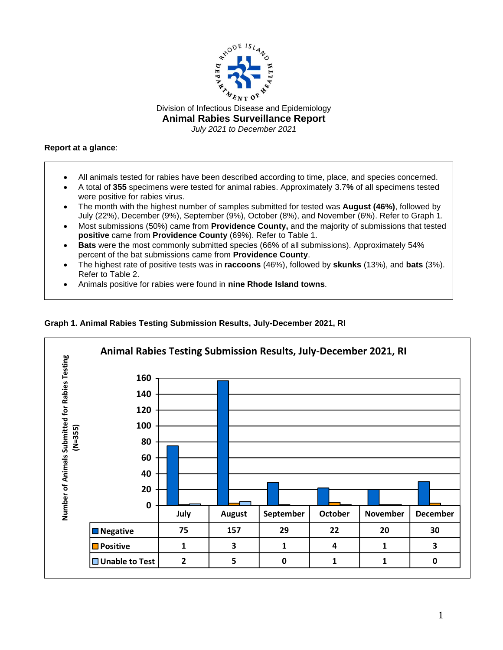

# **Report at a glance**:

- All animals tested for rabies have been described according to time, place, and species concerned.
- A total of **355** specimens were tested for animal rabies. Approximately 3.7**%** of all specimens tested were positive for rabies virus.
- The month with the highest number of samples submitted for tested was **August (46%)**, followed by July (22%), December (9%), September (9%), October (8%), and November (6%). Refer to Graph 1.
- Most submissions (50%) came from **Providence County,** and the majority of submissions that tested **positive** came from **Providence County** (69%). Refer to Table 1.
- **Bats** were the most commonly submitted species (66% of all submissions). Approximately 54% percent of the bat submissions came from **Providence County**.
- The highest rate of positive tests was in **raccoons** (46%), followed by **skunks** (13%), and **bats** (3%). Refer to Table 2.
- Animals positive for rabies were found in **nine Rhode Island towns**.

# **Graph 1. Animal Rabies Testing Submission Results, July-December 2021, RI**

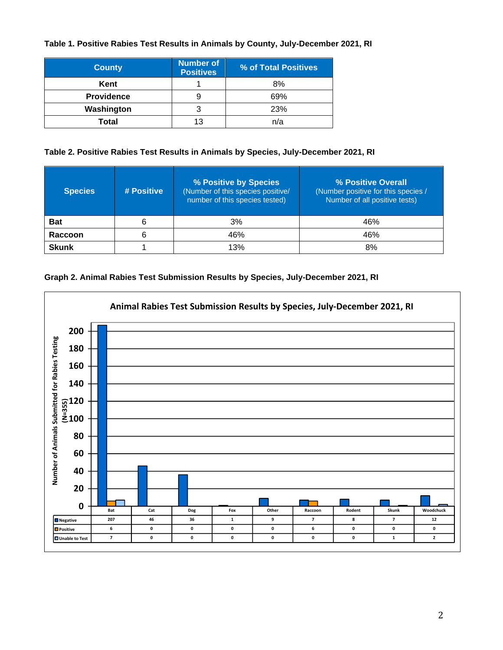# **Table 1. Positive Rabies Test Results in Animals by County, July-December 2021, RI**

| <b>County</b>     | <b>Number of</b><br><b>Positives</b> | % of Total Positives |  |
|-------------------|--------------------------------------|----------------------|--|
| Kent              |                                      | 8%                   |  |
| <b>Providence</b> | 9                                    | 69%                  |  |
| Washington        | 3                                    | 23%                  |  |
| Total             | 13                                   | n/a                  |  |

#### **Table 2. Positive Rabies Test Results in Animals by Species, July-December 2021, RI**

| <b>Species</b> | # Positive | % Positive by Species<br>(Number of this species positive/<br>number of this species tested) | % Positive Overall<br>(Number positive for this species /<br>Number of all positive tests) |  |
|----------------|------------|----------------------------------------------------------------------------------------------|--------------------------------------------------------------------------------------------|--|
| <b>Bat</b>     | 6          | 3%                                                                                           | 46%                                                                                        |  |
| Raccoon        | 6          | 46%                                                                                          | 46%                                                                                        |  |
| <b>Skunk</b>   |            | 13%                                                                                          | 8%                                                                                         |  |

# **Graph 2. Animal Rabies Test Submission Results by Species, July-December 2021, RI**

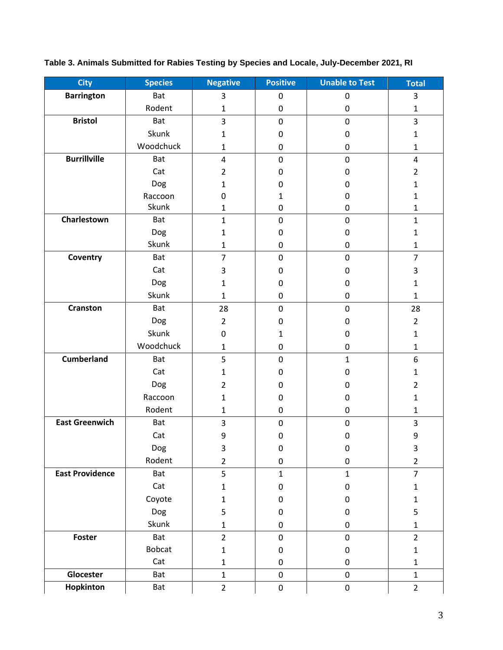# **City Species Negative Positive Unable to Test Total Barrington** | Bat | 3 | 0 | 0 | 3 Rodent | 1 | 0 | 0 | 1 **Bristol | B**at | 3 | 0 | 0 | 3 Skunk | 1 | 0 | 0 | 1 Woodchuck 1 0 0 0 1 **Burrillville** | Bat | 4 | 0 | 0 | 4 Cat | 2 | 0 | 0 | 2 Dog | 1 | 0 | 0 | 1 Raccoon | 0 | 1 | 0 | 1 Skunk | 1 | 0 | 0 | 1 **Charlestown** Bat 1 1 0 0 0 1 Dog | 1 | 0 | 0 | 1 Skunk | 1 | 0 | 0 | 1 **Coventry** | Bat | 7 | 0 | 0 | 7 Cat | 3 | 0 | 0 | 3 Dog | 1 | 0 | 0 | 1 Skunk | 1 | 0 | 0 | 1 **Cranston** | Bat | 28 | 0 | 0 | 28 Dog | 2 | 0 | 0 | 2 Skunk | 0 | 1 | 0 | 1 Woodchuck 1 1 0 0 0 1 **Cumberland** Bat | 5 | 0 | 1 | 6 Cat | 1 | 0 | 0 | 1 Dog | 2 | 0 | 0 | 2 Raccoon | 1 | 0 | 0 | 1 Rodent | 1 | 0 | 0 | 1 **East Greenwich** Bat 1 3 0 0 0 3 Cat | 9 | 0 | 0 | 9 Dog | 3 | 0 | 0 | 3 Rodent | 2 | 0 | 0 | 2 **East Providence** Bat | 5 | 1 | 1 | 7 Cat | 1 | 0 | 0 | 1 Coyote | 1 | 0 | 0 | 1 Dog | 5 | 0 | 0 | 5 Skunk | 1 | 0 | 0 | 1 **Foster** | Bat | 2 | 0 | 0 | 2 Bobcat | 1 | 0 | 0 | 1 Cat | 1 | 0 | 0 | 1 **Glocester** | Bat | 1 | 0 | 0 | 1 **Hopkinton |** Bat | 2 | 0 | 0 | 2

#### **Table 3. Animals Submitted for Rabies Testing by Species and Locale, July-December 2021, RI**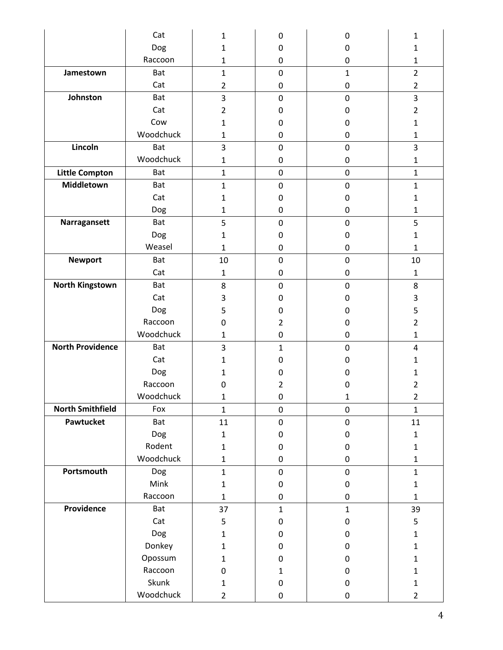|                         | Cat        | $\mathbf{1}$   | $\boldsymbol{0}$ | 0            | $\mathbf{1}$   |
|-------------------------|------------|----------------|------------------|--------------|----------------|
|                         | Dog        | $\mathbf{1}$   | $\mathbf 0$      | 0            | $\mathbf{1}$   |
|                         | Raccoon    | 1              | 0                | 0            | $\mathbf{1}$   |
| Jamestown               | <b>Bat</b> | $\mathbf{1}$   | $\pmb{0}$        | $\mathbf{1}$ | $\overline{2}$ |
|                         | Cat        | $\overline{2}$ | $\pmb{0}$        | 0            | $\overline{2}$ |
| Johnston                | <b>Bat</b> | 3              | $\pmb{0}$        | $\mathbf 0$  | 3              |
|                         | Cat        | $\overline{2}$ | 0                | 0            | $\overline{2}$ |
|                         | Cow        | 1              | $\mathbf 0$      | 0            | 1              |
|                         | Woodchuck  | $\mathbf 1$    | $\pmb{0}$        | 0            | $\mathbf 1$    |
| Lincoln                 | <b>Bat</b> | 3              | $\pmb{0}$        | $\mathbf 0$  | 3              |
|                         | Woodchuck  | $\mathbf 1$    | $\pmb{0}$        | 0            | $\mathbf 1$    |
| <b>Little Compton</b>   | <b>Bat</b> | $\mathbf{1}$   | $\pmb{0}$        | $\pmb{0}$    | $\mathbf{1}$   |
| Middletown              | <b>Bat</b> | $\mathbf{1}$   | $\mathbf 0$      | $\pmb{0}$    | $\mathbf{1}$   |
|                         | Cat        | 1              | $\boldsymbol{0}$ | 0            | $\mathbf{1}$   |
|                         | Dog        | 1              | 0                | 0            | 1              |
| Narragansett            | <b>Bat</b> | 5              | 0                | 0            | 5              |
|                         | Dog        | 1              | $\boldsymbol{0}$ | 0            | $\mathbf{1}$   |
|                         | Weasel     | $\mathbf{1}$   | $\pmb{0}$        | 0            | $\mathbf{1}$   |
| <b>Newport</b>          | <b>Bat</b> | 10             | $\pmb{0}$        | $\pmb{0}$    | 10             |
|                         | Cat        | $\mathbf{1}$   | $\pmb{0}$        | 0            | $\mathbf 1$    |
| <b>North Kingstown</b>  | <b>Bat</b> | 8              | $\pmb{0}$        | $\mathbf 0$  | 8              |
|                         | Cat        | 3              | 0                | 0            | 3              |
|                         | Dog        | 5              | $\pmb{0}$        | 0            | 5              |
|                         | Raccoon    | 0              | $\overline{2}$   | 0            | $\overline{2}$ |
|                         | Woodchuck  | $\mathbf{1}$   | $\pmb{0}$        | 0            | $\mathbf 1$    |
| <b>North Providence</b> | <b>Bat</b> | 3              | $\mathbf{1}$     | $\mathbf 0$  | 4              |
|                         | Cat        | 1              | 0                | 0            | 1              |
|                         | Dog        | 1              | 0                | 0            | 1              |
|                         | Raccoon    | 0              | 2                | 0            | 2              |
|                         | Woodchuck  | $\mathbf{1}$   | 0                | 1            | $\overline{2}$ |
| <b>North Smithfield</b> | Fox        | $\mathbf{1}$   | $\pmb{0}$        | $\mathbf 0$  | $\mathbf{1}$   |
| Pawtucket               | Bat        | 11             | $\pmb{0}$        | $\pmb{0}$    | 11             |
|                         | Dog        | $\mathbf{1}$   | $\pmb{0}$        | 0            | $\mathbf{1}$   |
|                         | Rodent     | $\mathbf{1}$   | $\pmb{0}$        | 0            | $\mathbf 1$    |
|                         | Woodchuck  | $\mathbf{1}$   | $\pmb{0}$        | 0            | $\mathbf{1}$   |
| Portsmouth              | Dog        | $\mathbf{1}$   | $\pmb{0}$        | $\pmb{0}$    | $\mathbf{1}$   |
|                         | Mink       | $\mathbf{1}$   | $\pmb{0}$        | 0            | $\mathbf{1}$   |
|                         | Raccoon    | $\mathbf{1}$   | $\pmb{0}$        | 0            | $\mathbf{1}$   |
| Providence              | Bat        | 37             | $\mathbf{1}$     | $\mathbf{1}$ | 39             |
|                         | Cat        | 5              | 0                | $\mathbf 0$  | 5              |
|                         | Dog        | $\mathbf{1}$   | $\pmb{0}$        | 0            | $\mathbf 1$    |
|                         | Donkey     | $\mathbf{1}$   | 0                | 0            | $\mathbf 1$    |
|                         | Opossum    | $\mathbf{1}$   | $\pmb{0}$        | 0            | $\mathbf{1}$   |
|                         | Raccoon    | 0              | $\mathbf{1}$     | 0            | $\mathbf{1}$   |
|                         | Skunk      | $\mathbf{1}$   | $\pmb{0}$        | 0            | $\mathbf{1}$   |
|                         | Woodchuck  | $\overline{2}$ | $\pmb{0}$        | 0            | $\overline{2}$ |